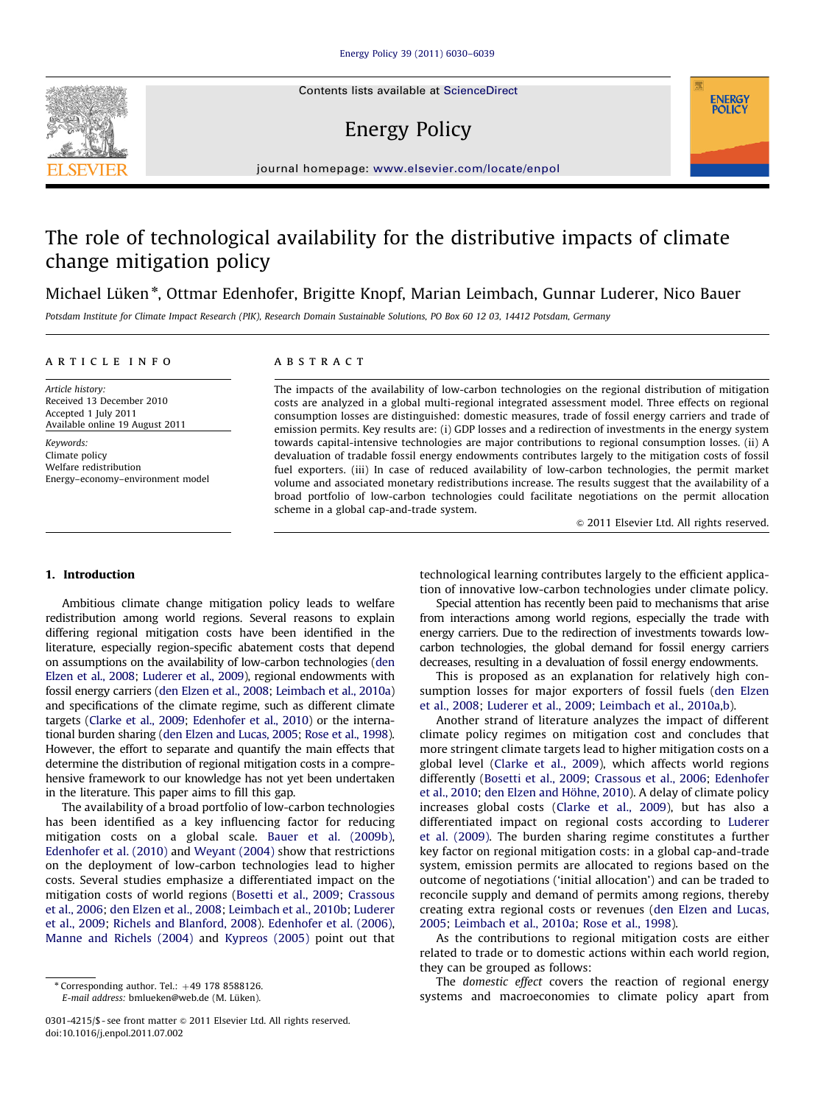Contents lists available at ScienceDirect

# Energy Policy



## The role of technological availability for the distributive impacts of climate change mitigation policy

Michael Lüken\*, Ottmar Edenhofer, Brigitte Knopf, Marian Leimbach, Gunnar Luderer, Nico Bauer

Potsdam Institute for Climate Impact Research (PIK), Research Domain Sustainable Solutions, PO Box 60 12 03, 14412 Potsdam, Germany

#### article info

Received 13 December 2010 Accepted 1 July 2011 Available online 19 August 2011

Energy–economy–environment model

Article history:

Keywords: Climate policy Welfare redistribution **ABSTRACT** 

The impacts of the availability of low-carbon technologies on the regional distribution of mitigation costs are analyzed in a global multi-regional integrated assessment model. Three effects on regional consumption losses are distinguished: domestic measures, trade of fossil energy carriers and trade of emission permits. Key results are: (i) GDP losses and a redirection of investments in the energy system towards capital-intensive technologies are major contributions to regional consumption losses. (ii) A devaluation of tradable fossil energy endowments contributes largely to the mitigation costs of fossil fuel exporters. (iii) In case of reduced availability of low-carbon technologies, the permit market volume and associated monetary redistributions increase. The results suggest that the availability of a broad portfolio of low-carbon technologies could facilitate negotiations on the permit allocation scheme in a global cap-and-trade system.

 $\odot$  2011 Elsevier Ltd. All rights reserved.

**ENERGY POLICY** 

#### 1. Introduction

Ambitious climate change mitigation policy leads to welfare redistribution among world regions. Several reasons to explain differing regional mitigation costs have been identified in the literature, especially region-specific abatement costs that depend on assumptions on the availability of low-carbon technologies ([den](#page-9-0) [Elzen et al., 2008;](#page-9-0) [Luderer et al., 2009](#page-9-0)), regional endowments with fossil energy carriers [\(den Elzen et al., 2008](#page-9-0); [Leimbach et al., 2010a\)](#page-9-0) and specifications of the climate regime, such as different climate targets [\(Clarke et al., 2009;](#page-8-0) [Edenhofer et al., 2010\)](#page-9-0) or the international burden sharing [\(den Elzen and Lucas, 2005](#page-9-0); [Rose et al., 1998\)](#page-9-0). However, the effort to separate and quantify the main effects that determine the distribution of regional mitigation costs in a comprehensive framework to our knowledge has not yet been undertaken in the literature. This paper aims to fill this gap.

The availability of a broad portfolio of low-carbon technologies has been identified as a key influencing factor for reducing mitigation costs on a global scale. [Bauer et al. \(2009b\),](#page-8-0) [Edenhofer et al. \(2010\)](#page-9-0) and [Weyant \(2004\)](#page-9-0) show that restrictions on the deployment of low-carbon technologies lead to higher costs. Several studies emphasize a differentiated impact on the mitigation costs of world regions ([Bosetti et al., 2009;](#page-8-0) [Crassous](#page-8-0) [et al., 2006](#page-8-0); [den Elzen et al., 2008](#page-9-0); [Leimbach et al., 2010b](#page-9-0); [Luderer](#page-9-0) [et al., 2009;](#page-9-0) [Richels and Blanford, 2008\)](#page-9-0). [Edenhofer et al. \(2006\),](#page-9-0) [Manne and Richels \(2004\)](#page-9-0) and [Kypreos \(2005\)](#page-9-0) point out that

E-mail address: bmlueken@web.de (M. Lüken).

technological learning contributes largely to the efficient application of innovative low-carbon technologies under climate policy.

Special attention has recently been paid to mechanisms that arise from interactions among world regions, especially the trade with energy carriers. Due to the redirection of investments towards lowcarbon technologies, the global demand for fossil energy carriers decreases, resulting in a devaluation of fossil energy endowments.

This is proposed as an explanation for relatively high consumption losses for major exporters of fossil fuels ([den Elzen](#page-9-0) [et al., 2008;](#page-9-0) [Luderer et al., 2009](#page-9-0); [Leimbach et al., 2010a,b](#page-9-0)).

Another strand of literature analyzes the impact of different climate policy regimes on mitigation cost and concludes that more stringent climate targets lead to higher mitigation costs on a global level [\(Clarke et al., 2009](#page-8-0)), which affects world regions differently [\(Bosetti et al., 2009](#page-8-0); [Crassous et al., 2006;](#page-8-0) [Edenhofer](#page-9-0) [et al., 2010](#page-9-0); [den Elzen and H](#page-9-0)ö[hne, 2010](#page-9-0)). A delay of climate policy increases global costs [\(Clarke et al., 2009\)](#page-8-0), but has also a differentiated impact on regional costs according to [Luderer](#page-9-0) [et al. \(2009\).](#page-9-0) The burden sharing regime constitutes a further key factor on regional mitigation costs: in a global cap-and-trade system, emission permits are allocated to regions based on the outcome of negotiations ('initial allocation') and can be traded to reconcile supply and demand of permits among regions, thereby creating extra regional costs or revenues ([den Elzen and Lucas,](#page-9-0) [2005;](#page-9-0) [Leimbach et al., 2010a](#page-9-0); [Rose et al., 1998](#page-9-0)).

As the contributions to regional mitigation costs are either related to trade or to domestic actions within each world region, they can be grouped as follows:

The domestic effect covers the reaction of regional energy systems and macroeconomies to climate policy apart from



 $*$  Corresponding author. Tel.:  $+49$  178 8588126.

<sup>0301-4215/\$ -</sup> see front matter @ 2011 Elsevier Ltd. All rights reserved. doi:[10.1016/j.enpol.2011.07.002](dx.doi.org/10.1016/j.enpol.2011.07.002)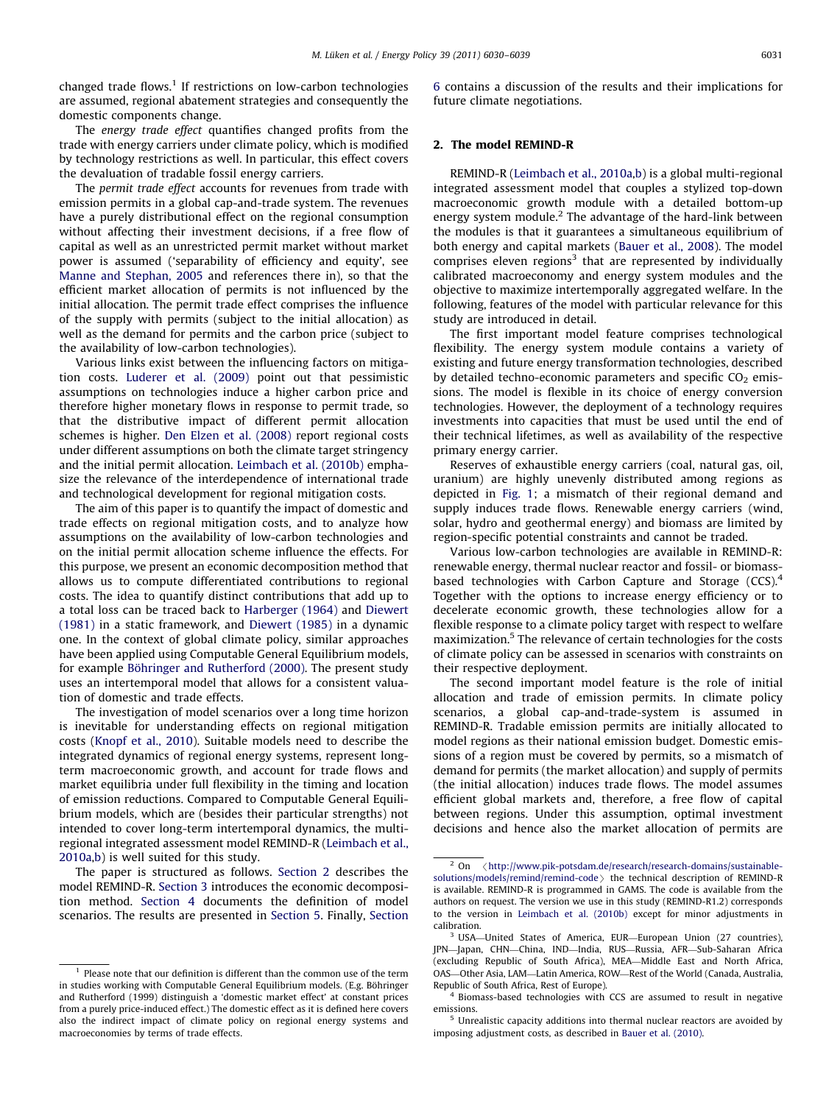changed trade flows.<sup>1</sup> If restrictions on low-carbon technologies are assumed, regional abatement strategies and consequently the domestic components change.

The energy trade effect quantifies changed profits from the trade with energy carriers under climate policy, which is modified by technology restrictions as well. In particular, this effect covers the devaluation of tradable fossil energy carriers.

The permit trade effect accounts for revenues from trade with emission permits in a global cap-and-trade system. The revenues have a purely distributional effect on the regional consumption without affecting their investment decisions, if a free flow of capital as well as an unrestricted permit market without market power is assumed ('separability of efficiency and equity', see [Manne and Stephan, 2005](#page-9-0) and references there in), so that the efficient market allocation of permits is not influenced by the initial allocation. The permit trade effect comprises the influence of the supply with permits (subject to the initial allocation) as well as the demand for permits and the carbon price (subject to the availability of low-carbon technologies).

Various links exist between the influencing factors on mitigation costs. [Luderer et al. \(2009\)](#page-9-0) point out that pessimistic assumptions on technologies induce a higher carbon price and therefore higher monetary flows in response to permit trade, so that the distributive impact of different permit allocation schemes is higher. [Den Elzen et al. \(2008\)](#page-9-0) report regional costs under different assumptions on both the climate target stringency and the initial permit allocation. [Leimbach et al. \(2010b\)](#page-9-0) emphasize the relevance of the interdependence of international trade and technological development for regional mitigation costs.

The aim of this paper is to quantify the impact of domestic and trade effects on regional mitigation costs, and to analyze how assumptions on the availability of low-carbon technologies and on the initial permit allocation scheme influence the effects. For this purpose, we present an economic decomposition method that allows us to compute differentiated contributions to regional costs. The idea to quantify distinct contributions that add up to a total loss can be traced back to [Harberger \(1964\)](#page-9-0) and [Diewert](#page-9-0) [\(1981\)](#page-9-0) in a static framework, and [Diewert \(1985\)](#page-9-0) in a dynamic one. In the context of global climate policy, similar approaches have been applied using Computable General Equilibrium models, for example Böhringer and Rutherford (2000). The present study uses an intertemporal model that allows for a consistent valuation of domestic and trade effects.

The investigation of model scenarios over a long time horizon is inevitable for understanding effects on regional mitigation costs [\(Knopf et al., 2010\)](#page-9-0). Suitable models need to describe the integrated dynamics of regional energy systems, represent longterm macroeconomic growth, and account for trade flows and market equilibria under full flexibility in the timing and location of emission reductions. Compared to Computable General Equilibrium models, which are (besides their particular strengths) not intended to cover long-term intertemporal dynamics, the multiregional integrated assessment model REMIND-R ([Leimbach et al.,](#page-9-0) [2010a,b\)](#page-9-0) is well suited for this study.

The paper is structured as follows. Section 2 describes the model REMIND-R. [Section 3](#page-2-0) introduces the economic decomposition method. [Section 4](#page-3-0) documents the definition of model scenarios. The results are presented in [Section 5](#page-3-0). Finally, [Section](#page-7-0) [6](#page-7-0) contains a discussion of the results and their implications for future climate negotiations.

#### 2. The model REMIND-R

REMIND-R [\(Leimbach et al., 2010a,b](#page-9-0)) is a global multi-regional integrated assessment model that couples a stylized top-down macroeconomic growth module with a detailed bottom-up energy system module.2 The advantage of the hard-link between the modules is that it guarantees a simultaneous equilibrium of both energy and capital markets ([Bauer et al., 2008](#page-8-0)). The model comprises eleven regions<sup>3</sup> that are represented by individually calibrated macroeconomy and energy system modules and the objective to maximize intertemporally aggregated welfare. In the following, features of the model with particular relevance for this study are introduced in detail.

The first important model feature comprises technological flexibility. The energy system module contains a variety of existing and future energy transformation technologies, described by detailed techno-economic parameters and specific  $CO<sub>2</sub>$  emissions. The model is flexible in its choice of energy conversion technologies. However, the deployment of a technology requires investments into capacities that must be used until the end of their technical lifetimes, as well as availability of the respective primary energy carrier.

Reserves of exhaustible energy carriers (coal, natural gas, oil, uranium) are highly unevenly distributed among regions as depicted in [Fig. 1;](#page-2-0) a mismatch of their regional demand and supply induces trade flows. Renewable energy carriers (wind, solar, hydro and geothermal energy) and biomass are limited by region-specific potential constraints and cannot be traded.

Various low-carbon technologies are available in REMIND-R: renewable energy, thermal nuclear reactor and fossil- or biomassbased technologies with Carbon Capture and Storage (CCS).<sup>4</sup> Together with the options to increase energy efficiency or to decelerate economic growth, these technologies allow for a flexible response to a climate policy target with respect to welfare maximization.<sup>5</sup> The relevance of certain technologies for the costs of climate policy can be assessed in scenarios with constraints on their respective deployment.

The second important model feature is the role of initial allocation and trade of emission permits. In climate policy scenarios, a global cap-and-trade-system is assumed in REMIND-R. Tradable emission permits are initially allocated to model regions as their national emission budget. Domestic emissions of a region must be covered by permits, so a mismatch of demand for permits (the market allocation) and supply of permits (the initial allocation) induces trade flows. The model assumes efficient global markets and, therefore, a free flow of capital between regions. Under this assumption, optimal investment decisions and hence also the market allocation of permits are

<sup>4</sup> Biomass-based technologies with CCS are assumed to result in negative emissions.

<sup>5</sup> Unrealistic capacity additions into thermal nuclear reactors are avoided by imposing adjustment costs, as described in [Bauer et al. \(2010\)](#page-8-0).

Please note that our definition is different than the common use of the term in studies working with Computable General Equilibrium models. (E.g. Böhringer and Rutherford (1999) distinguish a 'domestic market effect' at constant prices from a purely price-induced effect.) The domestic effect as it is defined here covers also the indirect impact of climate policy on regional energy systems and macroeconomies by terms of trade effects.

 $2$  On  $\langle$  [http://www.pik-potsdam.de/research/research-domains/sustainable](http://www.pik-potsdam.de/research/research-domains/sustainable-solutions/models/remind/remind-code)[solutions/models/remind/remind-code](http://www.pik-potsdam.de/research/research-domains/sustainable-solutions/models/remind/remind-code)  $\rightarrow$  the technical description of REMIND-R is available. REMIND-R is programmed in GAMS. The code is available from the authors on request. The version we use in this study (REMIND-R1.2) corresponds to the version in [Leimbach et al. \(2010b\)](#page-9-0) except for minor adjustments in calibration.

<sup>3</sup> USA—United States of America, EUR—European Union (27 countries), JPN—Japan, CHN—China, IND—India, RUS—Russia, AFR—Sub-Saharan Africa (excluding Republic of South Africa), MEA—Middle East and North Africa, OAS—Other Asia, LAM—Latin America, ROW—Rest of the World (Canada, Australia, Republic of South Africa, Rest of Europe).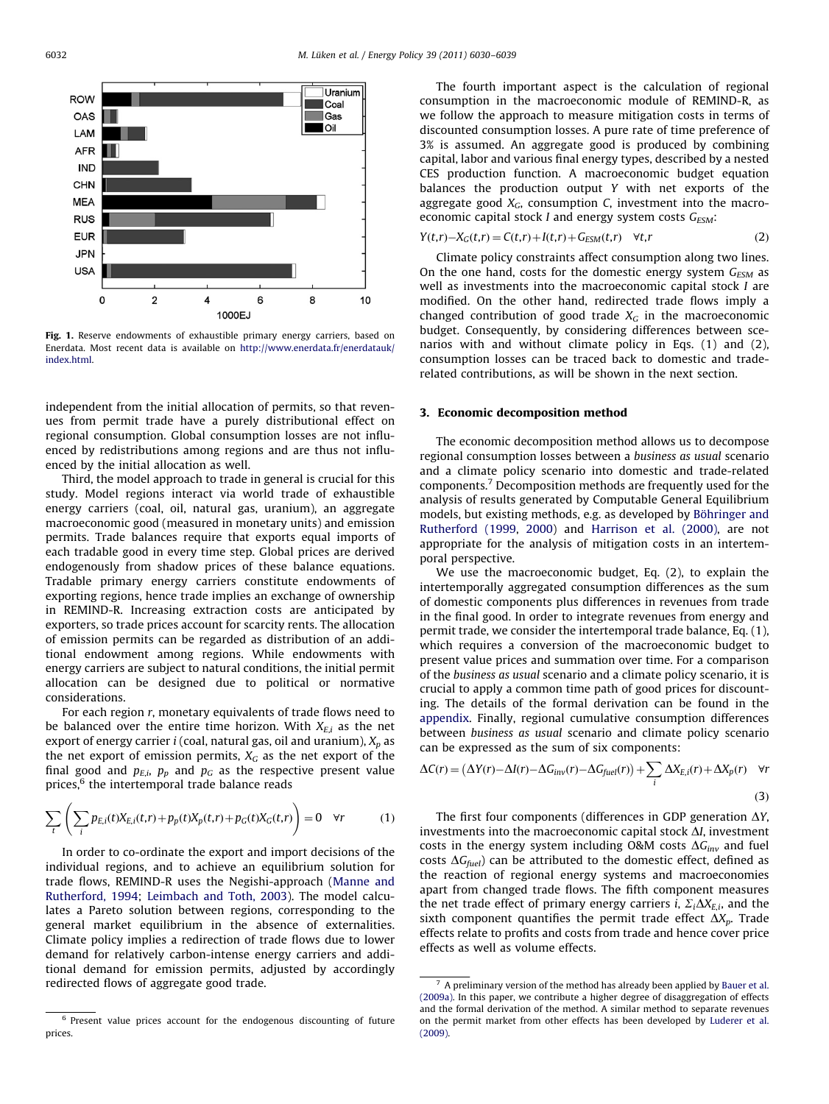<span id="page-2-0"></span>

Fig. 1. Reserve endowments of exhaustible primary energy carriers, based on Enerdata. Most recent data is available on [http://www.enerdata.fr/enerdatauk/](http://www.enerdata.fr/enerdatauk/index.html) [index.html.](http://www.enerdata.fr/enerdatauk/index.html)

independent from the initial allocation of permits, so that revenues from permit trade have a purely distributional effect on regional consumption. Global consumption losses are not influenced by redistributions among regions and are thus not influenced by the initial allocation as well.

Third, the model approach to trade in general is crucial for this study. Model regions interact via world trade of exhaustible energy carriers (coal, oil, natural gas, uranium), an aggregate macroeconomic good (measured in monetary units) and emission permits. Trade balances require that exports equal imports of each tradable good in every time step. Global prices are derived endogenously from shadow prices of these balance equations. Tradable primary energy carriers constitute endowments of exporting regions, hence trade implies an exchange of ownership in REMIND-R. Increasing extraction costs are anticipated by exporters, so trade prices account for scarcity rents. The allocation of emission permits can be regarded as distribution of an additional endowment among regions. While endowments with energy carriers are subject to natural conditions, the initial permit allocation can be designed due to political or normative considerations.

For each region r, monetary equivalents of trade flows need to be balanced over the entire time horizon. With  $X_{E,i}$  as the net export of energy carrier *i* (coal, natural gas, oil and uranium),  $X_p$  as the net export of emission permits,  $X_G$  as the net export of the final good and  $p_{E,i}$ ,  $p_p$  and  $p_G$  as the respective present value prices,<sup>6</sup> the intertemporal trade balance reads

$$
\sum_{t} \left( \sum_{i} p_{E,i}(t) X_{E,i}(t,r) + p_p(t) X_p(t,r) + p_G(t) X_G(t,r) \right) = 0 \quad \forall r \tag{1}
$$

In order to co-ordinate the export and import decisions of the individual regions, and to achieve an equilibrium solution for trade flows, REMIND-R uses the Negishi-approach [\(Manne and](#page-9-0) [Rutherford, 1994](#page-9-0); [Leimbach and Toth, 2003](#page-9-0)). The model calculates a Pareto solution between regions, corresponding to the general market equilibrium in the absence of externalities. Climate policy implies a redirection of trade flows due to lower demand for relatively carbon-intense energy carriers and additional demand for emission permits, adjusted by accordingly redirected flows of aggregate good trade.

The fourth important aspect is the calculation of regional consumption in the macroeconomic module of REMIND-R, as we follow the approach to measure mitigation costs in terms of discounted consumption losses. A pure rate of time preference of 3% is assumed. An aggregate good is produced by combining capital, labor and various final energy types, described by a nested CES production function. A macroeconomic budget equation balances the production output Y with net exports of the aggregate good  $X_G$ , consumption C, investment into the macroeconomic capital stock I and energy system costs  $G_{ESM}$ :

$$
Y(t,r) - X_G(t,r) = C(t,r) + I(t,r) + G_{ESM}(t,r) \quad \forall t, r
$$
 (2)

Climate policy constraints affect consumption along two lines. On the one hand, costs for the domestic energy system  $G_{FSM}$  as well as investments into the macroeconomic capital stock I are modified. On the other hand, redirected trade flows imply a changed contribution of good trade  $X<sub>G</sub>$  in the macroeconomic budget. Consequently, by considering differences between scenarios with and without climate policy in Eqs. (1) and (2), consumption losses can be traced back to domestic and traderelated contributions, as will be shown in the next section.

## 3. Economic decomposition method

The economic decomposition method allows us to decompose regional consumption losses between a business as usual scenario and a climate policy scenario into domestic and trade-related components.<sup>7</sup> Decomposition methods are frequently used for the analysis of results generated by Computable General Equilibrium models, but existing methods, e.g. as developed by Böhringer and [Rutherford \(1999,](#page-8-0) [2000](#page-8-0)) and [Harrison et al. \(2000\),](#page-9-0) are not appropriate for the analysis of mitigation costs in an intertemporal perspective.

We use the macroeconomic budget, Eq. (2), to explain the intertemporally aggregated consumption differences as the sum of domestic components plus differences in revenues from trade in the final good. In order to integrate revenues from energy and permit trade, we consider the intertemporal trade balance, Eq. (1), which requires a conversion of the macroeconomic budget to present value prices and summation over time. For a comparison of the business as usual scenario and a climate policy scenario, it is crucial to apply a common time path of good prices for discounting. The details of the formal derivation can be found in the [appendix](#page-8-0). Finally, regional cumulative consumption differences between business as usual scenario and climate policy scenario can be expressed as the sum of six components:

$$
\Delta C(r) = (\Delta Y(r) - \Delta I(r) - \Delta G_{inv}(r) - \Delta G_{fuel}(r)) + \sum_{i} \Delta X_{E,i}(r) + \Delta X_{p}(r) \quad \forall r
$$
\n(3)

The first four components (differences in GDP generation  $\Delta Y$ , investments into the macroeconomic capital stock  $\Delta I$ , investment costs in the energy system including O&M costs  $\Delta G_{inv}$  and fuel costs  $\Delta G_{fuel}$ ) can be attributed to the domestic effect, defined as the reaction of regional energy systems and macroeconomies apart from changed trade flows. The fifth component measures the net trade effect of primary energy carriers *i*,  $\Sigma_i \Delta X_{E,i}$ , and the sixth component quantifies the permit trade effect  $\Delta X_p$ . Trade effects relate to profits and costs from trade and hence cover price effects as well as volume effects.

<sup>6</sup> Present value prices account for the endogenous discounting of future prices.

 $7\,$  A preliminary version of the method has already been applied by [Bauer et al.](#page-8-0) [\(2009a\)](#page-8-0). In this paper, we contribute a higher degree of disaggregation of effects and the formal derivation of the method. A similar method to separate revenues on the permit market from other effects has been developed by [Luderer et al.](#page-9-0) [\(2009\).](#page-9-0)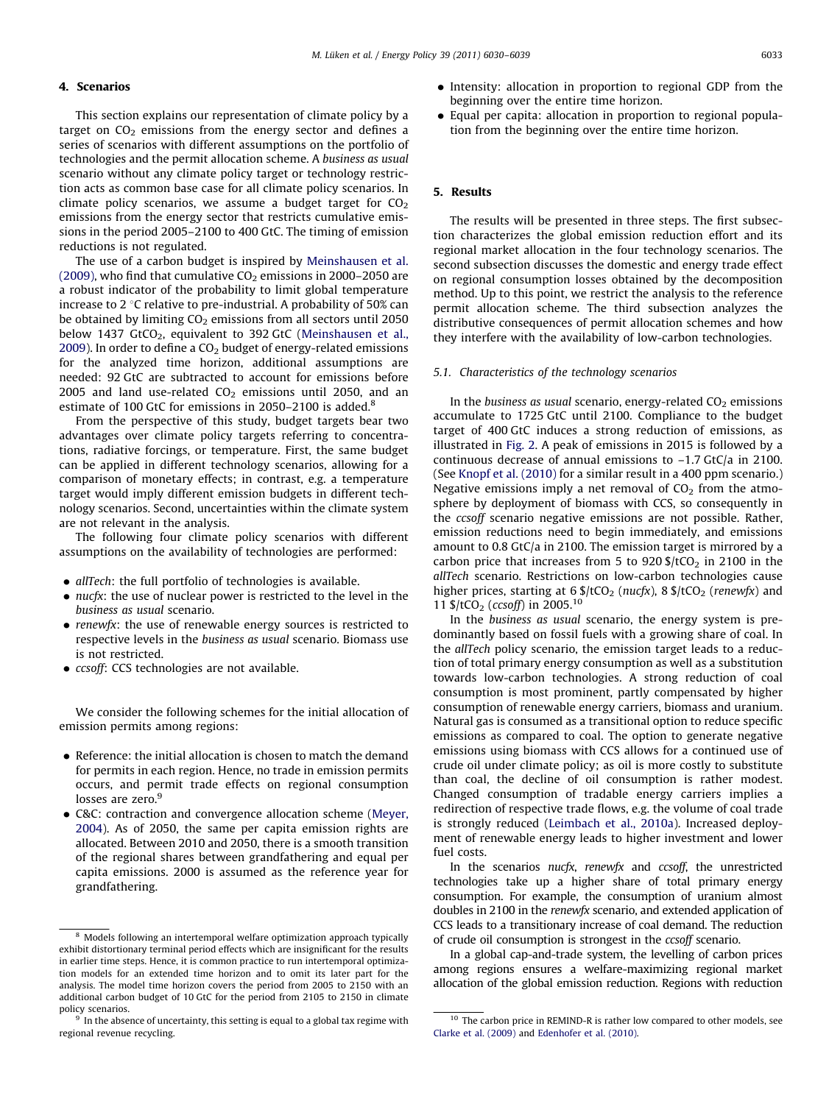## <span id="page-3-0"></span>4. Scenarios

This section explains our representation of climate policy by a target on  $CO<sub>2</sub>$  emissions from the energy sector and defines a series of scenarios with different assumptions on the portfolio of technologies and the permit allocation scheme. A business as usual scenario without any climate policy target or technology restriction acts as common base case for all climate policy scenarios. In climate policy scenarios, we assume a budget target for  $CO<sub>2</sub>$ emissions from the energy sector that restricts cumulative emissions in the period 2005–2100 to 400 GtC. The timing of emission reductions is not regulated.

The use of a carbon budget is inspired by [Meinshausen et al.](#page-9-0) [\(2009\),](#page-9-0) who find that cumulative  $CO<sub>2</sub>$  emissions in 2000–2050 are a robust indicator of the probability to limit global temperature increase to 2  $\degree$ C relative to pre-industrial. A probability of 50% can be obtained by limiting  $CO<sub>2</sub>$  emissions from all sectors until 2050 below 1437 GtCO<sub>2</sub>, equivalent to 392 GtC ([Meinshausen et al.,](#page-9-0) [2009\)](#page-9-0). In order to define a  $CO<sub>2</sub>$  budget of energy-related emissions for the analyzed time horizon, additional assumptions are needed: 92 GtC are subtracted to account for emissions before 2005 and land use-related  $CO<sub>2</sub>$  emissions until 2050, and an estimate of 100 GtC for emissions in 2050–2100 is added.<sup>8</sup>

From the perspective of this study, budget targets bear two advantages over climate policy targets referring to concentrations, radiative forcings, or temperature. First, the same budget can be applied in different technology scenarios, allowing for a comparison of monetary effects; in contrast, e.g. a temperature target would imply different emission budgets in different technology scenarios. Second, uncertainties within the climate system are not relevant in the analysis.

The following four climate policy scenarios with different assumptions on the availability of technologies are performed:

- allTech: the full portfolio of technologies is available.
- $\bullet$  nucfx: the use of nuclear power is restricted to the level in the business as usual scenario.
- renewfx: the use of renewable energy sources is restricted to respective levels in the business as usual scenario. Biomass use is not restricted.
- ccsoff: CCS technologies are not available.

We consider the following schemes for the initial allocation of emission permits among regions:

- Reference: the initial allocation is chosen to match the demand for permits in each region. Hence, no trade in emission permits occurs, and permit trade effects on regional consumption losses are zero.<sup>9</sup>
- C&C: contraction and convergence allocation scheme [\(Meyer,](#page-9-0) [2004\)](#page-9-0). As of 2050, the same per capita emission rights are allocated. Between 2010 and 2050, there is a smooth transition of the regional shares between grandfathering and equal per capita emissions. 2000 is assumed as the reference year for grandfathering.
- Intensity: allocation in proportion to regional GDP from the beginning over the entire time horizon.
- Equal per capita: allocation in proportion to regional population from the beginning over the entire time horizon.

## 5. Results

The results will be presented in three steps. The first subsection characterizes the global emission reduction effort and its regional market allocation in the four technology scenarios. The second subsection discusses the domestic and energy trade effect on regional consumption losses obtained by the decomposition method. Up to this point, we restrict the analysis to the reference permit allocation scheme. The third subsection analyzes the distributive consequences of permit allocation schemes and how they interfere with the availability of low-carbon technologies.

#### 5.1. Characteristics of the technology scenarios

In the business as usual scenario, energy-related  $CO<sub>2</sub>$  emissions accumulate to 1725 GtC until 2100. Compliance to the budget target of 400 GtC induces a strong reduction of emissions, as illustrated in [Fig. 2.](#page-4-0) A peak of emissions in 2015 is followed by a continuous decrease of annual emissions to –1.7 GtC/a in 2100. (See [Knopf et al. \(2010\)](#page-9-0) for a similar result in a 400 ppm scenario.) Negative emissions imply a net removal of  $CO<sub>2</sub>$  from the atmosphere by deployment of biomass with CCS, so consequently in the ccsoff scenario negative emissions are not possible. Rather, emission reductions need to begin immediately, and emissions amount to 0.8 GtC/a in 2100. The emission target is mirrored by a carbon price that increases from 5 to  $920$  \$/tCO<sub>2</sub> in 2100 in the allTech scenario. Restrictions on low-carbon technologies cause higher prices, starting at 6  $\frac{1}{2}$  (renewfx) and higher prices, starting at 6  $\frac{1}{2}$  (renewfx) and 11  $\frac{C}{2}$  (ccsoff) in 2005.<sup>10</sup>

In the business as usual scenario, the energy system is predominantly based on fossil fuels with a growing share of coal. In the allTech policy scenario, the emission target leads to a reduction of total primary energy consumption as well as a substitution towards low-carbon technologies. A strong reduction of coal consumption is most prominent, partly compensated by higher consumption of renewable energy carriers, biomass and uranium. Natural gas is consumed as a transitional option to reduce specific emissions as compared to coal. The option to generate negative emissions using biomass with CCS allows for a continued use of crude oil under climate policy; as oil is more costly to substitute than coal, the decline of oil consumption is rather modest. Changed consumption of tradable energy carriers implies a redirection of respective trade flows, e.g. the volume of coal trade is strongly reduced [\(Leimbach et al., 2010a](#page-9-0)). Increased deployment of renewable energy leads to higher investment and lower fuel costs.

In the scenarios nucfx, renewfx and ccsoff, the unrestricted technologies take up a higher share of total primary energy consumption. For example, the consumption of uranium almost doubles in 2100 in the renewfx scenario, and extended application of CCS leads to a transitionary increase of coal demand. The reduction of crude oil consumption is strongest in the ccsoff scenario.

In a global cap-and-trade system, the levelling of carbon prices among regions ensures a welfare-maximizing regional market allocation of the global emission reduction. Regions with reduction

<sup>8</sup> Models following an intertemporal welfare optimization approach typically exhibit distortionary terminal period effects which are insignificant for the results in earlier time steps. Hence, it is common practice to run intertemporal optimization models for an extended time horizon and to omit its later part for the analysis. The model time horizon covers the period from 2005 to 2150 with an additional carbon budget of 10 GtC for the period from 2105 to 2150 in climate policy scenarios.

 $9\degree$  In the absence of uncertainty, this setting is equal to a global tax regime with regional revenue recycling.

 $^{10}$  The carbon price in REMIND-R is rather low compared to other models, see [Clarke et al. \(2009\)](#page-8-0) and [Edenhofer et al. \(2010\).](#page-9-0)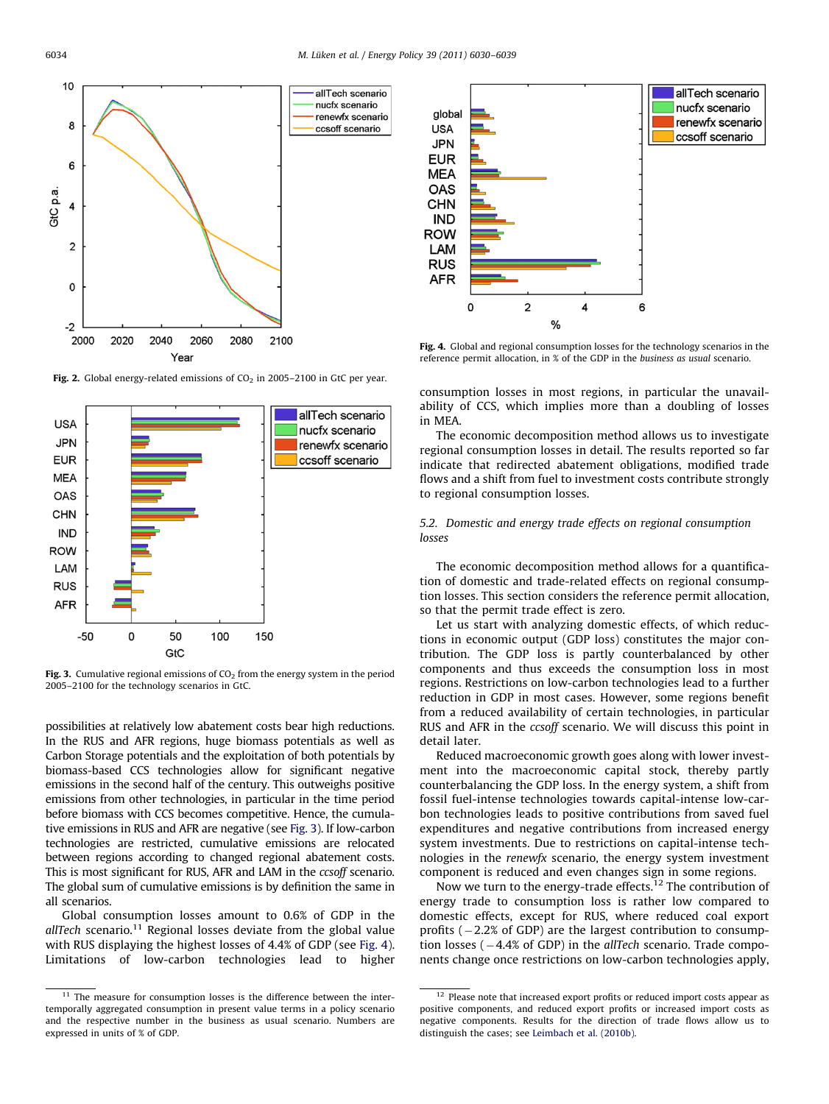<span id="page-4-0"></span>

Fig. 2. Global energy-related emissions of  $CO<sub>2</sub>$  in 2005–2100 in GtC per year.



Fig. 3. Cumulative regional emissions of  $CO<sub>2</sub>$  from the energy system in the period 2005–2100 for the technology scenarios in GtC.

possibilities at relatively low abatement costs bear high reductions. In the RUS and AFR regions, huge biomass potentials as well as Carbon Storage potentials and the exploitation of both potentials by biomass-based CCS technologies allow for significant negative emissions in the second half of the century. This outweighs positive emissions from other technologies, in particular in the time period before biomass with CCS becomes competitive. Hence, the cumulative emissions in RUS and AFR are negative (see Fig. 3). If low-carbon technologies are restricted, cumulative emissions are relocated between regions according to changed regional abatement costs. This is most significant for RUS, AFR and LAM in the *ccsoff* scenario. The global sum of cumulative emissions is by definition the same in all scenarios.

Global consumption losses amount to 0.6% of GDP in the  $all Tech$  scenario.<sup>11</sup> Regional losses deviate from the global value with RUS displaying the highest losses of 4.4% of GDP (see Fig. 4). Limitations of low-carbon technologies lead to higher



Fig. 4. Global and regional consumption losses for the technology scenarios in the reference permit allocation, in % of the GDP in the business as usual scenario.

consumption losses in most regions, in particular the unavailability of CCS, which implies more than a doubling of losses in MEA.

The economic decomposition method allows us to investigate regional consumption losses in detail. The results reported so far indicate that redirected abatement obligations, modified trade flows and a shift from fuel to investment costs contribute strongly to regional consumption losses.

5.2. Domestic and energy trade effects on regional consumption losses

The economic decomposition method allows for a quantification of domestic and trade-related effects on regional consumption losses. This section considers the reference permit allocation, so that the permit trade effect is zero.

Let us start with analyzing domestic effects, of which reductions in economic output (GDP loss) constitutes the major contribution. The GDP loss is partly counterbalanced by other components and thus exceeds the consumption loss in most regions. Restrictions on low-carbon technologies lead to a further reduction in GDP in most cases. However, some regions benefit from a reduced availability of certain technologies, in particular RUS and AFR in the ccsoff scenario. We will discuss this point in detail later.

Reduced macroeconomic growth goes along with lower investment into the macroeconomic capital stock, thereby partly counterbalancing the GDP loss. In the energy system, a shift from fossil fuel-intense technologies towards capital-intense low-carbon technologies leads to positive contributions from saved fuel expenditures and negative contributions from increased energy system investments. Due to restrictions on capital-intense technologies in the renewfx scenario, the energy system investment component is reduced and even changes sign in some regions.

Now we turn to the energy-trade effects.<sup>12</sup> The contribution of energy trade to consumption loss is rather low compared to domestic effects, except for RUS, where reduced coal export profits  $(-2.2%$  of GDP) are the largest contribution to consumption losses  $(-4.4\%$  of GDP) in the *allTech* scenario. Trade components change once restrictions on low-carbon technologies apply,

 $11$  The measure for consumption losses is the difference between the intertemporally aggregated consumption in present value terms in a policy scenario and the respective number in the business as usual scenario. Numbers are expressed in units of % of GDP.

 $12$  Please note that increased export profits or reduced import costs appear as positive components, and reduced export profits or increased import costs as negative components. Results for the direction of trade flows allow us to distinguish the cases; see [Leimbach et al. \(2010b\).](#page-9-0)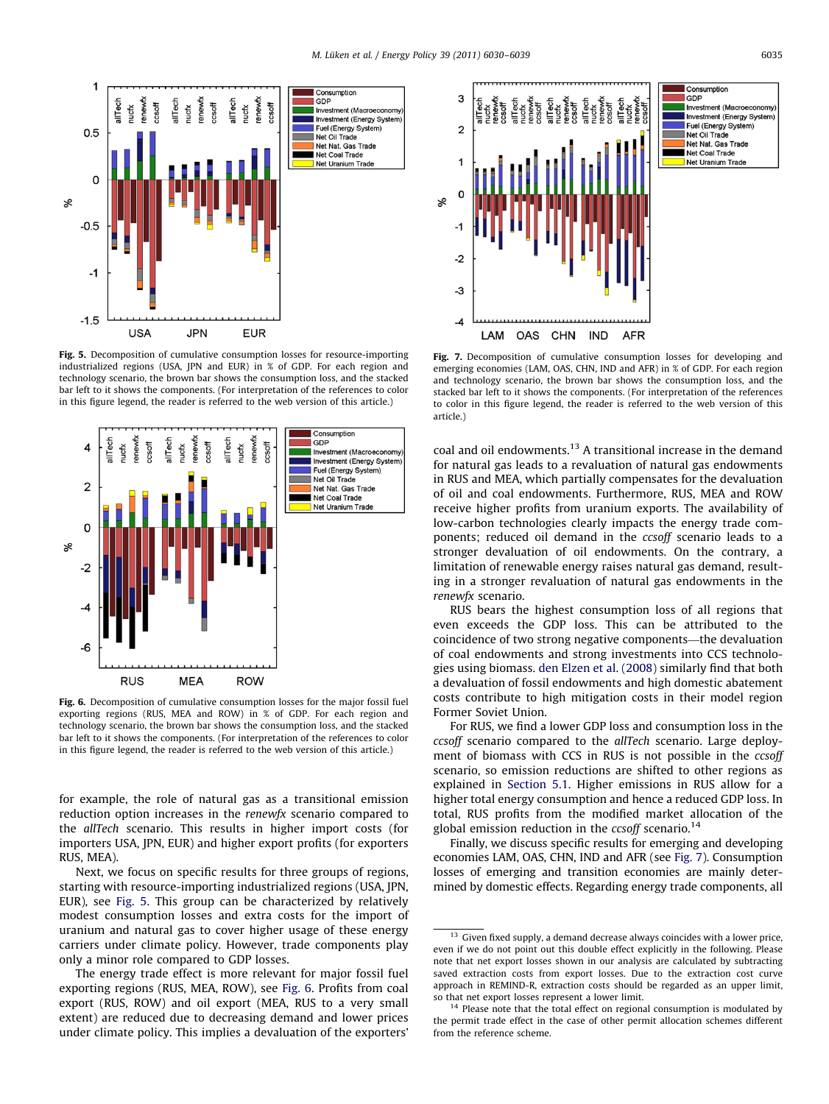

Fig. 5. Decomposition of cumulative consumption losses for resource-importing industrialized regions (USA, JPN and EUR) in % of GDP. For each region and technology scenario, the brown bar shows the consumption loss, and the stacked bar left to it shows the components. (For interpretation of the references to color in this figure legend, the reader is referred to the web version of this article.)



Fig. 6. Decomposition of cumulative consumption losses for the major fossil fuel exporting regions (RUS, MEA and ROW) in % of GDP. For each region and technology scenario, the brown bar shows the consumption loss, and the stacked bar left to it shows the components. (For interpretation of the references to color in this figure legend, the reader is referred to the web version of this article.)

for example, the role of natural gas as a transitional emission reduction option increases in the renewfx scenario compared to the allTech scenario. This results in higher import costs (for importers USA, JPN, EUR) and higher export profits (for exporters RUS, MEA).

Next, we focus on specific results for three groups of regions, starting with resource-importing industrialized regions (USA, JPN, EUR), see Fig. 5. This group can be characterized by relatively modest consumption losses and extra costs for the import of uranium and natural gas to cover higher usage of these energy carriers under climate policy. However, trade components play only a minor role compared to GDP losses.

The energy trade effect is more relevant for major fossil fuel exporting regions (RUS, MEA, ROW), see Fig. 6. Profits from coal export (RUS, ROW) and oil export (MEA, RUS to a very small extent) are reduced due to decreasing demand and lower prices under climate policy. This implies a devaluation of the exporters'



Fig. 7. Decomposition of cumulative consumption losses for developing and emerging economies (LAM, OAS, CHN, IND and AFR) in % of GDP. For each region and technology scenario, the brown bar shows the consumption loss, and the stacked bar left to it shows the components. (For interpretation of the references to color in this figure legend, the reader is referred to the web version of this article.)

coal and oil endowments.<sup>13</sup> A transitional increase in the demand for natural gas leads to a revaluation of natural gas endowments in RUS and MEA, which partially compensates for the devaluation of oil and coal endowments. Furthermore, RUS, MEA and ROW receive higher profits from uranium exports. The availability of low-carbon technologies clearly impacts the energy trade components; reduced oil demand in the ccsoff scenario leads to a stronger devaluation of oil endowments. On the contrary, a limitation of renewable energy raises natural gas demand, resulting in a stronger revaluation of natural gas endowments in the renewfx scenario.

RUS bears the highest consumption loss of all regions that even exceeds the GDP loss. This can be attributed to the coincidence of two strong negative components—the devaluation of coal endowments and strong investments into CCS technologies using biomass. [den Elzen et al. \(2008\)](#page-9-0) similarly find that both a devaluation of fossil endowments and high domestic abatement costs contribute to high mitigation costs in their model region Former Soviet Union.

For RUS, we find a lower GDP loss and consumption loss in the ccsoff scenario compared to the allTech scenario. Large deployment of biomass with CCS in RUS is not possible in the *ccsoff* scenario, so emission reductions are shifted to other regions as explained in [Section 5.1](#page-3-0). Higher emissions in RUS allow for a higher total energy consumption and hence a reduced GDP loss. In total, RUS profits from the modified market allocation of the global emission reduction in the  $cc\text{soft}$  scenario.<sup>14</sup>

Finally, we discuss specific results for emerging and developing economies LAM, OAS, CHN, IND and AFR (see Fig. 7). Consumption losses of emerging and transition economies are mainly determined by domestic effects. Regarding energy trade components, all

<sup>&</sup>lt;sup>13</sup> Given fixed supply, a demand decrease always coincides with a lower price, even if we do not point out this double effect explicitly in the following. Please note that net export losses shown in our analysis are calculated by subtracting saved extraction costs from export losses. Due to the extraction cost curve approach in REMIND-R, extraction costs should be regarded as an upper limit, so that net export losses represent a lower limit.

<sup>&</sup>lt;sup>14</sup> Please note that the total effect on regional consumption is modulated by the permit trade effect in the case of other permit allocation schemes different from the reference scheme.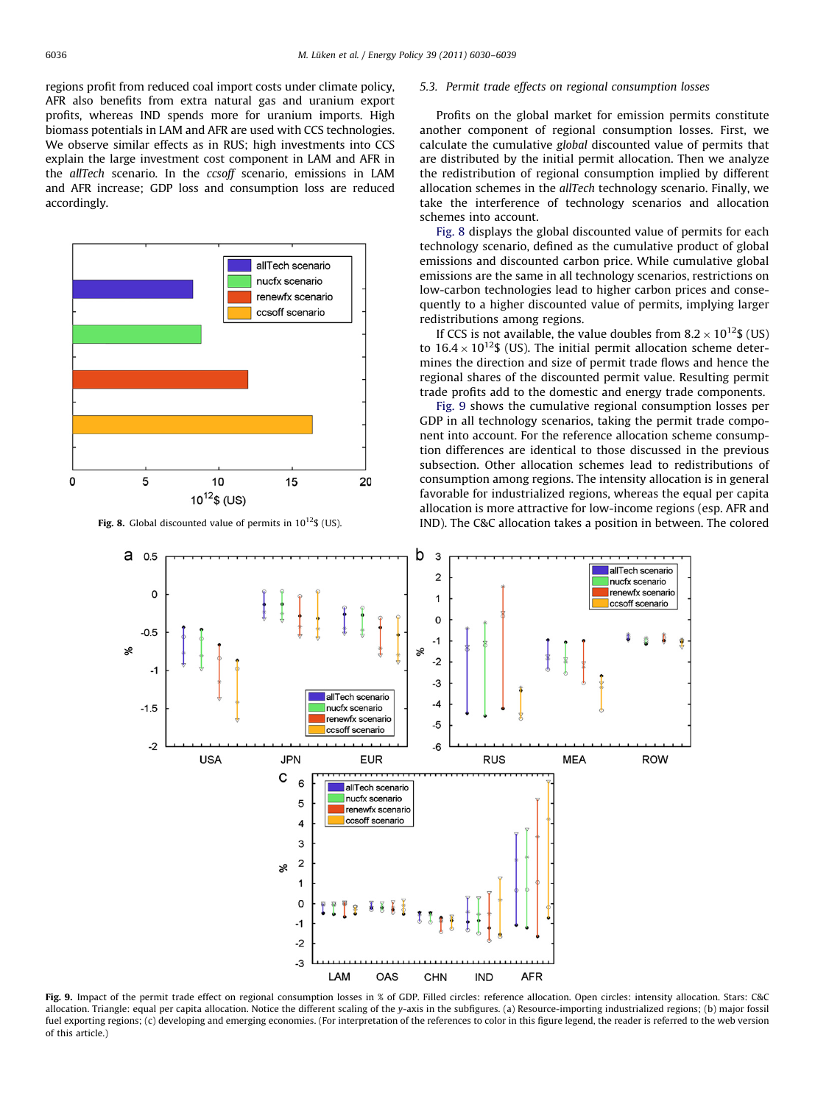regions profit from reduced coal import costs under climate policy, AFR also benefits from extra natural gas and uranium export profits, whereas IND spends more for uranium imports. High biomass potentials in LAM and AFR are used with CCS technologies. We observe similar effects as in RUS; high investments into CCS explain the large investment cost component in LAM and AFR in the allTech scenario. In the ccsoff scenario, emissions in LAM and AFR increase; GDP loss and consumption loss are reduced accordingly.



#### 5.3. Permit trade effects on regional consumption losses

Profits on the global market for emission permits constitute another component of regional consumption losses. First, we calculate the cumulative global discounted value of permits that are distributed by the initial permit allocation. Then we analyze the redistribution of regional consumption implied by different allocation schemes in the allTech technology scenario. Finally, we take the interference of technology scenarios and allocation schemes into account.

Fig. 8 displays the global discounted value of permits for each technology scenario, defined as the cumulative product of global emissions and discounted carbon price. While cumulative global emissions are the same in all technology scenarios, restrictions on low-carbon technologies lead to higher carbon prices and consequently to a higher discounted value of permits, implying larger redistributions among regions.

If CCS is not available, the value doubles from  $8.2 \times 10^{12}$  (US) to  $16.4 \times 10^{12}$ \$ (US). The initial permit allocation scheme determines the direction and size of permit trade flows and hence the regional shares of the discounted permit value. Resulting permit trade profits add to the domestic and energy trade components.

Fig. 9 shows the cumulative regional consumption losses per GDP in all technology scenarios, taking the permit trade component into account. For the reference allocation scheme consumption differences are identical to those discussed in the previous subsection. Other allocation schemes lead to redistributions of consumption among regions. The intensity allocation is in general favorable for industrialized regions, whereas the equal per capita allocation is more attractive for low-income regions (esp. AFR and Fig. 8. Global discounted value of permits in  $10^{12}$ \$ (US). IND IND. The C&C allocation takes a position in between. The colored



Fig. 9. Impact of the permit trade effect on regional consumption losses in % of GDP. Filled circles: reference allocation. Open circles: intensity allocation. Stars: C&C allocation. Triangle: equal per capita allocation. Notice the different scaling of the y-axis in the subfigures. (a) Resource-importing industrialized regions; (b) major fossil fuel exporting regions; (c) developing and emerging economies. (For interpretation of the references to color in this figure legend, the reader is referred to the web version of this article.)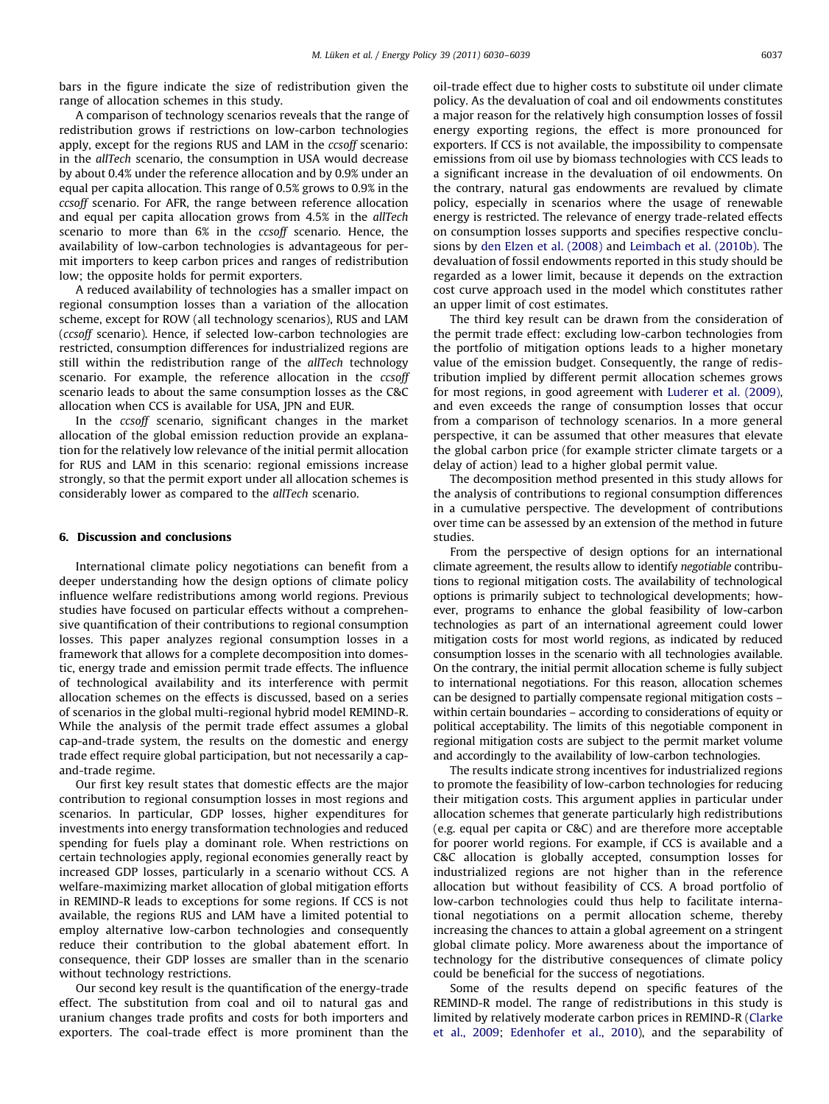<span id="page-7-0"></span>bars in the figure indicate the size of redistribution given the range of allocation schemes in this study.

A comparison of technology scenarios reveals that the range of redistribution grows if restrictions on low-carbon technologies apply, except for the regions RUS and LAM in the *ccsoff* scenario: in the allTech scenario, the consumption in USA would decrease by about 0.4% under the reference allocation and by 0.9% under an equal per capita allocation. This range of 0.5% grows to 0.9% in the ccsoff scenario. For AFR, the range between reference allocation and equal per capita allocation grows from 4.5% in the *allTech* scenario to more than 6% in the ccsoff scenario. Hence, the availability of low-carbon technologies is advantageous for permit importers to keep carbon prices and ranges of redistribution low; the opposite holds for permit exporters.

A reduced availability of technologies has a smaller impact on regional consumption losses than a variation of the allocation scheme, except for ROW (all technology scenarios), RUS and LAM (ccsoff scenario). Hence, if selected low-carbon technologies are restricted, consumption differences for industrialized regions are still within the redistribution range of the allTech technology scenario. For example, the reference allocation in the ccsoff scenario leads to about the same consumption losses as the C&C allocation when CCS is available for USA, JPN and EUR.

In the ccsoff scenario, significant changes in the market allocation of the global emission reduction provide an explanation for the relatively low relevance of the initial permit allocation for RUS and LAM in this scenario: regional emissions increase strongly, so that the permit export under all allocation schemes is considerably lower as compared to the allTech scenario.

## 6. Discussion and conclusions

International climate policy negotiations can benefit from a deeper understanding how the design options of climate policy influence welfare redistributions among world regions. Previous studies have focused on particular effects without a comprehensive quantification of their contributions to regional consumption losses. This paper analyzes regional consumption losses in a framework that allows for a complete decomposition into domestic, energy trade and emission permit trade effects. The influence of technological availability and its interference with permit allocation schemes on the effects is discussed, based on a series of scenarios in the global multi-regional hybrid model REMIND-R. While the analysis of the permit trade effect assumes a global cap-and-trade system, the results on the domestic and energy trade effect require global participation, but not necessarily a capand-trade regime.

Our first key result states that domestic effects are the major contribution to regional consumption losses in most regions and scenarios. In particular, GDP losses, higher expenditures for investments into energy transformation technologies and reduced spending for fuels play a dominant role. When restrictions on certain technologies apply, regional economies generally react by increased GDP losses, particularly in a scenario without CCS. A welfare-maximizing market allocation of global mitigation efforts in REMIND-R leads to exceptions for some regions. If CCS is not available, the regions RUS and LAM have a limited potential to employ alternative low-carbon technologies and consequently reduce their contribution to the global abatement effort. In consequence, their GDP losses are smaller than in the scenario without technology restrictions.

Our second key result is the quantification of the energy-trade effect. The substitution from coal and oil to natural gas and uranium changes trade profits and costs for both importers and exporters. The coal-trade effect is more prominent than the oil-trade effect due to higher costs to substitute oil under climate policy. As the devaluation of coal and oil endowments constitutes a major reason for the relatively high consumption losses of fossil energy exporting regions, the effect is more pronounced for exporters. If CCS is not available, the impossibility to compensate emissions from oil use by biomass technologies with CCS leads to a significant increase in the devaluation of oil endowments. On the contrary, natural gas endowments are revalued by climate policy, especially in scenarios where the usage of renewable energy is restricted. The relevance of energy trade-related effects on consumption losses supports and specifies respective conclusions by [den Elzen et al. \(2008\)](#page-9-0) and [Leimbach et al. \(2010b\).](#page-9-0) The devaluation of fossil endowments reported in this study should be regarded as a lower limit, because it depends on the extraction cost curve approach used in the model which constitutes rather an upper limit of cost estimates.

The third key result can be drawn from the consideration of the permit trade effect: excluding low-carbon technologies from the portfolio of mitigation options leads to a higher monetary value of the emission budget. Consequently, the range of redistribution implied by different permit allocation schemes grows for most regions, in good agreement with [Luderer et al. \(2009\),](#page-9-0) and even exceeds the range of consumption losses that occur from a comparison of technology scenarios. In a more general perspective, it can be assumed that other measures that elevate the global carbon price (for example stricter climate targets or a delay of action) lead to a higher global permit value.

The decomposition method presented in this study allows for the analysis of contributions to regional consumption differences in a cumulative perspective. The development of contributions over time can be assessed by an extension of the method in future studies.

From the perspective of design options for an international climate agreement, the results allow to identify negotiable contributions to regional mitigation costs. The availability of technological options is primarily subject to technological developments; however, programs to enhance the global feasibility of low-carbon technologies as part of an international agreement could lower mitigation costs for most world regions, as indicated by reduced consumption losses in the scenario with all technologies available. On the contrary, the initial permit allocation scheme is fully subject to international negotiations. For this reason, allocation schemes can be designed to partially compensate regional mitigation costs – within certain boundaries – according to considerations of equity or political acceptability. The limits of this negotiable component in regional mitigation costs are subject to the permit market volume and accordingly to the availability of low-carbon technologies.

The results indicate strong incentives for industrialized regions to promote the feasibility of low-carbon technologies for reducing their mitigation costs. This argument applies in particular under allocation schemes that generate particularly high redistributions (e.g. equal per capita or C&C) and are therefore more acceptable for poorer world regions. For example, if CCS is available and a C&C allocation is globally accepted, consumption losses for industrialized regions are not higher than in the reference allocation but without feasibility of CCS. A broad portfolio of low-carbon technologies could thus help to facilitate international negotiations on a permit allocation scheme, thereby increasing the chances to attain a global agreement on a stringent global climate policy. More awareness about the importance of technology for the distributive consequences of climate policy could be beneficial for the success of negotiations.

Some of the results depend on specific features of the REMIND-R model. The range of redistributions in this study is limited by relatively moderate carbon prices in REMIND-R ([Clarke](#page-8-0) [et al., 2009;](#page-8-0) [Edenhofer et al., 2010](#page-9-0)), and the separability of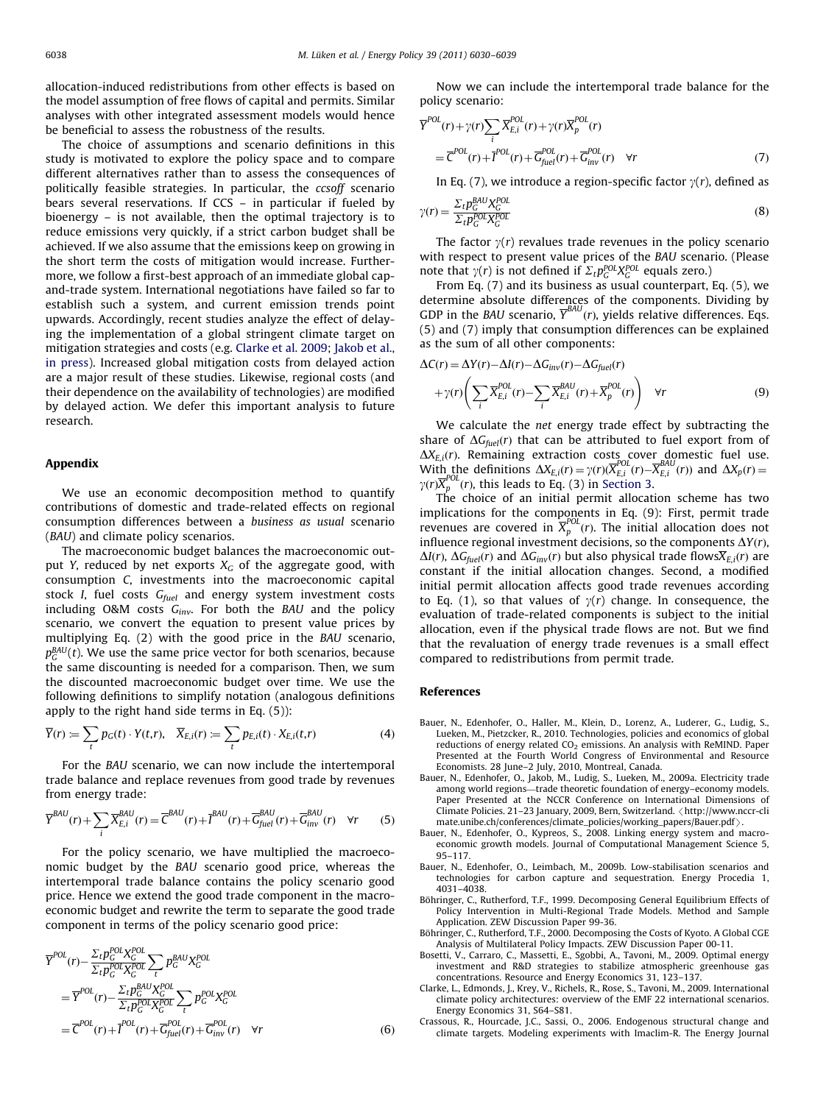<span id="page-8-0"></span>allocation-induced redistributions from other effects is based on the model assumption of free flows of capital and permits. Similar analyses with other integrated assessment models would hence be beneficial to assess the robustness of the results.

The choice of assumptions and scenario definitions in this study is motivated to explore the policy space and to compare different alternatives rather than to assess the consequences of politically feasible strategies. In particular, the ccsoff scenario bears several reservations. If CCS – in particular if fueled by bioenergy – is not available, then the optimal trajectory is to reduce emissions very quickly, if a strict carbon budget shall be achieved. If we also assume that the emissions keep on growing in the short term the costs of mitigation would increase. Furthermore, we follow a first-best approach of an immediate global capand-trade system. International negotiations have failed so far to establish such a system, and current emission trends point upwards. Accordingly, recent studies analyze the effect of delaying the implementation of a global stringent climate target on mitigation strategies and costs (e.g. Clarke et al. 2009; [Jakob et al.,](#page-9-0) [in press\)](#page-9-0). Increased global mitigation costs from delayed action are a major result of these studies. Likewise, regional costs (and their dependence on the availability of technologies) are modified by delayed action. We defer this important analysis to future research.

### Appendix

We use an economic decomposition method to quantify contributions of domestic and trade-related effects on regional consumption differences between a business as usual scenario (BAU) and climate policy scenarios.

The macroeconomic budget balances the macroeconomic output Y, reduced by net exports  $X_G$  of the aggregate good, with consumption C, investments into the macroeconomic capital stock I, fuel costs  $G_{fuel}$  and energy system investment costs including O&M costs  $G_{inv}$ . For both the BAU and the policy scenario, we convert the equation to present value prices by multiplying Eq. (2) with the good price in the BAU scenario,  $p_G^{\textit{BAU}}(t)$ . We use the same price vector for both scenarios, because the same discounting is needed for a comparison. Then, we sum the discounted macroeconomic budget over time. We use the following definitions to simplify notation (analogous definitions apply to the right hand side terms in Eq. (5)):

$$
\overline{Y}(r) := \sum_{t} p_G(t) \cdot Y(t, r), \quad \overline{X}_{E,i}(r) := \sum_{t} p_{E,i}(t) \cdot X_{E,i}(t, r)
$$
(4)

For the BAU scenario, we can now include the intertemporal trade balance and replace revenues from good trade by revenues from energy trade:

$$
\overline{Y}^{BAU}(r) + \sum_{i} \overline{X}^{BAU}_{E,i}(r) = \overline{C}^{BAU}(r) + \overline{I}^{BAU}(r) + \overline{G}^{BAU}_{fuel}(r) + \overline{G}^{BAU}_{inv}(r) \quad \forall r \tag{5}
$$

For the policy scenario, we have multiplied the macroeconomic budget by the BAU scenario good price, whereas the intertemporal trade balance contains the policy scenario good price. Hence we extend the good trade component in the macroeconomic budget and rewrite the term to separate the good trade component in terms of the policy scenario good price:

$$
\overline{Y}^{POL}(r) - \frac{\Sigma_t p_C^{POL} X_C^{POL}}{\Sigma_t p_C^{POL} X_C^{POL}} \sum_t p_G^{BAU} X_C^{POL}
$$
\n
$$
= \overline{Y}^{POL}(r) - \frac{\Sigma_t p_C^{BAU} X_C^{POL}}{\Sigma_t p_C^{POL} X_C^{POL}} \sum_t p_C^{POL} X_C^{POL}
$$
\n
$$
= \overline{C}^{POL}(r) + \overline{I}^{POL}(r) + \overline{G}_{fuel}^{POL}(r) + \overline{G}_{inv}^{POL}(r) \quad \forall r
$$
\n(6)

Now we can include the intertemporal trade balance for the policy scenario:

$$
\overline{Y}^{POL}(r) + \gamma(r) \sum_{i} \overline{X}_{E,i}^{POL}(r) + \gamma(r) \overline{X}_{p}^{POL}(r)
$$
  
=  $\overline{C}^{POL}(r) + \overline{I}^{POL}(r) + \overline{G}_{fuel}^{POL}(r) + \overline{G}_{inv}^{POL}(r)$   $\forall r$  (7)

In Eq. (7), we introduce a region-specific factor  $\gamma(r)$ , defined as

$$
\gamma(r) = \frac{\sum_{t} p_G^{BAU} X_C^{Pol}}{\sum_{t} p_C^{Pol} X_C^{Pol}} \tag{8}
$$

The factor  $\gamma(r)$  revalues trade revenues in the policy scenario with respect to present value prices of the BAU scenario. (Please note that  $\gamma(r)$  is not defined if  $\Sigma_t p_C^{POL} X_G^{POL}$  equals zero.)

From Eq. (7) and its business as usual counterpart, Eq. (5), we determine absolute differences of the components. Dividing by GDP in the BAU scenario,  $\overline{Y}^{BAU}(r)$ , yields relative differences. Eqs. (5) and (7) imply that consumption differences can be explained as the sum of all other components:

$$
\Delta C(r) = \Delta Y(r) - \Delta I(r) - \Delta G_{inv}(r) - \Delta G_{fuel}(r)
$$
  
+  $\gamma(r) \left( \sum_{i} \overline{X}_{E,i}^{POL}(r) - \sum_{i} \overline{X}_{E,i}^{BAU}(r) + \overline{X}_{p}^{POL}(r) \right)$   $\forall r$  (9)

We calculate the net energy trade effect by subtracting the share of  $\Delta G_{fuel}(r)$  that can be attributed to fuel export from of  $\Delta X_{E,i}(r)$ . Remaining extraction costs cover domestic fuel use. With the definitions  $\Delta X_{E,i}(r) = \gamma(r) (\overline{X}_{E,i}^{POL}(r) - \overline{X}_{E,i}^{BAU}(r))$  and  $\Delta X_p(r) =$  $\gamma(r) \overline{X}_p^{POL}(r)$ , this leads to Eq. (3) in [Section 3](#page-2-0).

The choice of an initial permit allocation scheme has two implications for the components in Eq. (9): First, permit trade revenues are covered in  $\overline{X}_p^{POL}(r)$ . The initial allocation does not influence regional investment decisions, so the components  $\Delta Y(r)$ ,  $\Delta I(r)$ ,  $\Delta G_{fuel}(r)$  and  $\Delta G_{inv}(r)$  but also physical trade flows $\overline{X}_{E,i}(r)$  are constant if the initial allocation changes. Second, a modified initial permit allocation affects good trade revenues according to Eq. (1), so that values of  $\gamma(r)$  change. In consequence, the evaluation of trade-related components is subject to the initial allocation, even if the physical trade flows are not. But we find that the revaluation of energy trade revenues is a small effect compared to redistributions from permit trade.

## References

- Bauer, N., Edenhofer, O., Haller, M., Klein, D., Lorenz, A., Luderer, G., Ludig, S., Lueken, M., Pietzcker, R., 2010. Technologies, policies and economics of global reductions of energy related  $CO<sub>2</sub>$  emissions. An analysis with ReMIND. Paper Presented at the Fourth World Congress of Environmental and Resource Economists. 28 June–2 July, 2010, Montreal, Canada.
- Bauer, N., Edenhofer, O., Jakob, M., Ludig, S., Lueken, M., 2009a. Electricity trade among world regions—trade theoretic foundation of energy–economy models. Paper Presented at the NCCR Conference on International Dimensions of Climate Policies. 21-23 January, 2009, Bern, Switzerland. <[http://www.nccr-cli](http://www.nccr-climate.unibe.ch/conferences/climate_policies/working_papers/Bauer.pdf) [mate.unibe.ch/conferences/climate\\_policies/working\\_papers/Bauer.pdf](http://www.nccr-climate.unibe.ch/conferences/climate_policies/working_papers/Bauer.pdf) $\rangle$ .
- Bauer, N., Edenhofer, O., Kypreos, S., 2008. Linking energy system and macroeconomic growth models. Journal of Computational Management Science 5, 95–117.
- Bauer, N., Edenhofer, O., Leimbach, M., 2009b. Low-stabilisation scenarios and technologies for carbon capture and sequestration. Energy Procedia 1, 4031–4038.
- Böhringer, C., Rutherford, T.F., 1999. Decomposing General Equilibrium Effects of Policy Intervention in Multi-Regional Trade Models. Method and Sample Application. ZEW Discussion Paper 99-36.
- Böhringer, C., Rutherford, T.F., 2000. Decomposing the Costs of Kyoto. A Global CGE Analysis of Multilateral Policy Impacts. ZEW Discussion Paper 00-11.
- Bosetti, V., Carraro, C., Massetti, E., Sgobbi, A., Tavoni, M., 2009. Optimal energy investment and R&D strategies to stabilize atmospheric greenhouse gas concentrations. Resource and Energy Economics 31, 123–137.
- Clarke, L., Edmonds, J., Krey, V., Richels, R., Rose, S., Tavoni, M., 2009. International climate policy architectures: overview of the EMF 22 international scenarios. Energy Economics 31, S64–S81.
- Crassous, R., Hourcade, J.C., Sassi, O., 2006. Endogenous structural change and climate targets. Modeling experiments with Imaclim-R. The Energy Journal